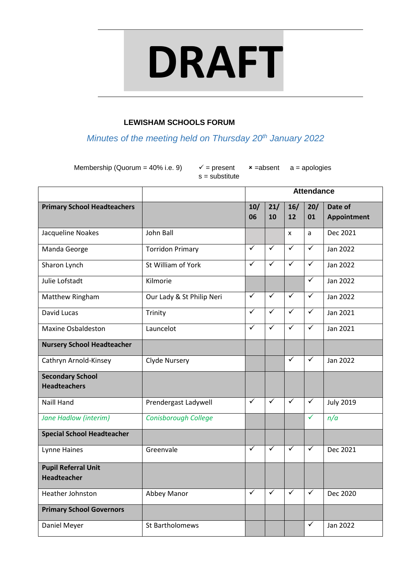# **DRAFT**

# **LEWISHAM SCHOOLS FORUM**

*Minutes of the meeting held on Thursday 20th January 2022*

Membership (Quorum = 40% i.e. 9)  $\checkmark$  = present  $\checkmark$  = absent a = apologies

s = substitute

|                                                  |                           | <b>Attendance</b>       |              |                         |              |                        |
|--------------------------------------------------|---------------------------|-------------------------|--------------|-------------------------|--------------|------------------------|
| <b>Primary School Headteachers</b>               |                           | 10/<br>06               | 21/<br>10    | 16/<br>12               | 20/<br>01    | Date of<br>Appointment |
| Jacqueline Noakes                                | John Ball                 |                         |              | X                       | a            | Dec 2021               |
| Manda George                                     | <b>Torridon Primary</b>   | $\overline{\checkmark}$ | $\checkmark$ | $\checkmark$            | $\checkmark$ | Jan 2022               |
| Sharon Lynch                                     | St William of York        | $\checkmark$            | $\checkmark$ | $\overline{\checkmark}$ | $\checkmark$ | Jan 2022               |
| Julie Lofstadt                                   | Kilmorie                  |                         |              |                         | $\checkmark$ | Jan 2022               |
| Matthew Ringham                                  | Our Lady & St Philip Neri | $\blacktriangledown$    | $\checkmark$ | $\checkmark$            | $\checkmark$ | Jan 2022               |
| David Lucas                                      | Trinity                   | ✓                       | $\checkmark$ | $\checkmark$            | $\checkmark$ | Jan 2021               |
| <b>Maxine Osbaldeston</b>                        | Launcelot                 | $\overline{\checkmark}$ | $\checkmark$ | $\checkmark$            | $\checkmark$ | Jan 2021               |
| <b>Nursery School Headteacher</b>                |                           |                         |              |                         |              |                        |
| Cathryn Arnold-Kinsey                            | Clyde Nursery             |                         |              | $\checkmark$            | ✓            | Jan 2022               |
| <b>Secondary School</b><br><b>Headteachers</b>   |                           |                         |              |                         |              |                        |
| <b>Naill Hand</b>                                | Prendergast Ladywell      | $\checkmark$            | $\checkmark$ | $\checkmark$            | $\checkmark$ | <b>July 2019</b>       |
| <b>Jane Hadlow (interim)</b>                     | Conisborough College      |                         |              |                         | $\checkmark$ | n/a                    |
| <b>Special School Headteacher</b>                |                           |                         |              |                         |              |                        |
| Lynne Haines                                     | Greenvale                 | ✓                       | ✓            | $\checkmark$            | $\checkmark$ | Dec 2021               |
| <b>Pupil Referral Unit</b><br><b>Headteacher</b> |                           |                         |              |                         |              |                        |
| Heather Johnston                                 | Abbey Manor               | $\checkmark$            | ✓            | $\checkmark$            | $\checkmark$ | Dec 2020               |
| <b>Primary School Governors</b>                  |                           |                         |              |                         |              |                        |
| Daniel Meyer                                     | St Bartholomews           |                         |              |                         | ✓            | Jan 2022               |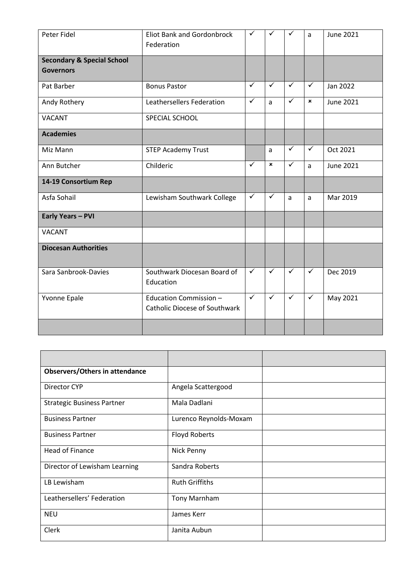| Peter Fidel                           | <b>Eliot Bank and Gordonbrock</b><br>Federation                | $\checkmark$         | $\checkmark$   | $\checkmark$ | a            | <b>June 2021</b> |
|---------------------------------------|----------------------------------------------------------------|----------------------|----------------|--------------|--------------|------------------|
| <b>Secondary &amp; Special School</b> |                                                                |                      |                |              |              |                  |
| <b>Governors</b>                      |                                                                |                      |                |              |              |                  |
| Pat Barber                            | <b>Bonus Pastor</b>                                            | $\checkmark$         | $\checkmark$   | $\checkmark$ | $\checkmark$ | Jan 2022         |
| Andy Rothery                          | Leathersellers Federation                                      | $\checkmark$         | a              | $\checkmark$ | ×            | <b>June 2021</b> |
| <b>VACANT</b>                         | SPECIAL SCHOOL                                                 |                      |                |              |              |                  |
| <b>Academies</b>                      |                                                                |                      |                |              |              |                  |
| Miz Mann                              | <b>STEP Academy Trust</b>                                      |                      | a              | $\checkmark$ | $\checkmark$ | Oct 2021         |
| Ann Butcher                           | Childeric                                                      | ✓                    | $\pmb{\times}$ | ✓            | a            | <b>June 2021</b> |
| 14-19 Consortium Rep                  |                                                                |                      |                |              |              |                  |
| Asfa Sohail                           | Lewisham Southwark College                                     | $\checkmark$         | $\checkmark$   | a            | a            | Mar 2019         |
| <b>Early Years - PVI</b>              |                                                                |                      |                |              |              |                  |
| <b>VACANT</b>                         |                                                                |                      |                |              |              |                  |
| <b>Diocesan Authorities</b>           |                                                                |                      |                |              |              |                  |
| Sara Sanbrook-Davies                  | Southwark Diocesan Board of<br>Education                       | $\checkmark$         | ✓              | $\checkmark$ | ✓            | Dec 2019         |
| Yvonne Epale                          | Education Commission -<br><b>Catholic Diocese of Southwark</b> | $\blacktriangledown$ | $\checkmark$   | $\checkmark$ | $\checkmark$ | May 2021         |
|                                       |                                                                |                      |                |              |              |                  |

| <b>Observers/Others in attendance</b> |                        |
|---------------------------------------|------------------------|
| Director CYP                          | Angela Scattergood     |
| <b>Strategic Business Partner</b>     | Mala Dadlani           |
| <b>Business Partner</b>               | Lurenco Reynolds-Moxam |
| <b>Business Partner</b>               | <b>Floyd Roberts</b>   |
| <b>Head of Finance</b>                | Nick Penny             |
| Director of Lewisham Learning         | Sandra Roberts         |
| LB Lewisham                           | <b>Ruth Griffiths</b>  |
| Leathersellers' Federation            | <b>Tony Marnham</b>    |
| <b>NEU</b>                            | James Kerr             |
| Clerk                                 | Janita Aubun           |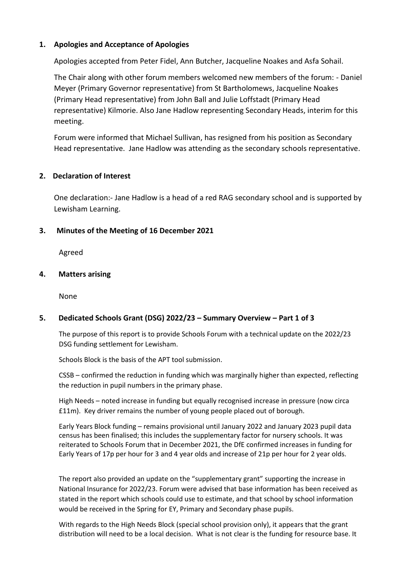## **1. Apologies and Acceptance of Apologies**

Apologies accepted from Peter Fidel, Ann Butcher, Jacqueline Noakes and Asfa Sohail.

The Chair along with other forum members welcomed new members of the forum: - Daniel Meyer (Primary Governor representative) from St Bartholomews, Jacqueline Noakes (Primary Head representative) from John Ball and Julie Loffstadt (Primary Head representative) Kilmorie. Also Jane Hadlow representing Secondary Heads, interim for this meeting.

Forum were informed that Michael Sullivan, has resigned from his position as Secondary Head representative. Jane Hadlow was attending as the secondary schools representative.

## **2. Declaration of Interest**

One declaration:- Jane Hadlow is a head of a red RAG secondary school and is supported by Lewisham Learning.

## **3. Minutes of the Meeting of 16 December 2021**

Agreed

## **4. Matters arising**

None

# **5. Dedicated Schools Grant (DSG) 2022/23 – Summary Overview – Part 1 of 3**

The purpose of this report is to provide Schools Forum with a technical update on the 2022/23 DSG funding settlement for Lewisham.

Schools Block is the basis of the APT tool submission.

CSSB – confirmed the reduction in funding which was marginally higher than expected, reflecting the reduction in pupil numbers in the primary phase.

High Needs – noted increase in funding but equally recognised increase in pressure (now circa £11m). Key driver remains the number of young people placed out of borough.

Early Years Block funding – remains provisional until January 2022 and January 2023 pupil data census has been finalised; this includes the supplementary factor for nursery schools. It was reiterated to Schools Forum that in December 2021, the DfE confirmed increases in funding for Early Years of 17p per hour for 3 and 4 year olds and increase of 21p per hour for 2 year olds.

The report also provided an update on the "supplementary grant" supporting the increase in National Insurance for 2022/23. Forum were advised that base information has been received as stated in the report which schools could use to estimate, and that school by school information would be received in the Spring for EY, Primary and Secondary phase pupils.

With regards to the High Needs Block (special school provision only), it appears that the grant distribution will need to be a local decision. What is not clear is the funding for resource base. It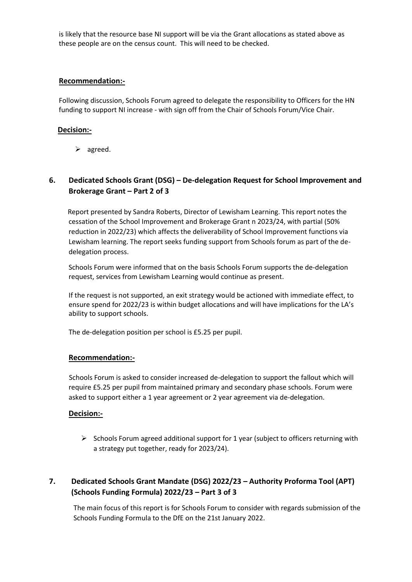is likely that the resource base NI support will be via the Grant allocations as stated above as these people are on the census count. This will need to be checked.

## **Recommendation:-**

Following discussion, Schools Forum agreed to delegate the responsibility to Officers for the HN funding to support NI increase - with sign off from the Chair of Schools Forum/Vice Chair.

#### **Decision:-**

 $\triangleright$  agreed.

# **6. Dedicated Schools Grant (DSG) – De-delegation Request for School Improvement and Brokerage Grant – Part 2 of 3**

Report presented by Sandra Roberts, Director of Lewisham Learning. This report notes the cessation of the School Improvement and Brokerage Grant n 2023/24, with partial (50% reduction in 2022/23) which affects the deliverability of School Improvement functions via Lewisham learning. The report seeks funding support from Schools forum as part of the dedelegation process.

Schools Forum were informed that on the basis Schools Forum supports the de-delegation request, services from Lewisham Learning would continue as present.

If the request is not supported, an exit strategy would be actioned with immediate effect, to ensure spend for 2022/23 is within budget allocations and will have implications for the LA's ability to support schools.

The de-delegation position per school is £5.25 per pupil.

#### **Recommendation:-**

 Schools Forum is asked to consider increased de-delegation to support the fallout which will require £5.25 per pupil from maintained primary and secondary phase schools. Forum were asked to support either a 1 year agreement or 2 year agreement via de-delegation.

#### **Decision:-**

 $\triangleright$  Schools Forum agreed additional support for 1 year (subject to officers returning with a strategy put together, ready for 2023/24).

# **7. Dedicated Schools Grant Mandate (DSG) 2022/23 – Authority Proforma Tool (APT) (Schools Funding Formula) 2022/23 – Part 3 of 3**

The main focus of this report is for Schools Forum to consider with regards submission of the Schools Funding Formula to the DfE on the 21st January 2022.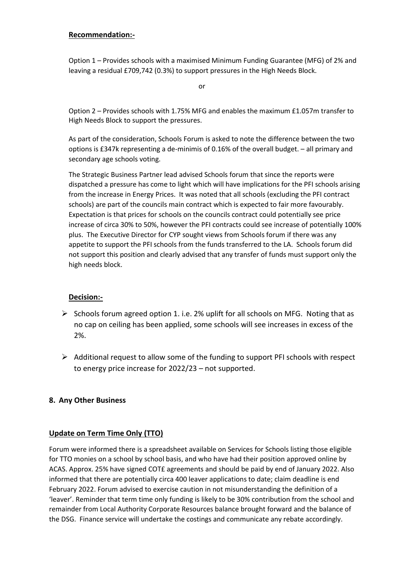## **Recommendation:-**

Option 1 – Provides schools with a maximised Minimum Funding Guarantee (MFG) of 2% and leaving a residual £709,742 (0.3%) to support pressures in the High Needs Block.

or

Option 2 – Provides schools with 1.75% MFG and enables the maximum £1.057m transfer to High Needs Block to support the pressures.

As part of the consideration, Schools Forum is asked to note the difference between the two options is £347k representing a de-minimis of 0.16% of the overall budget. – all primary and secondary age schools voting.

The Strategic Business Partner lead advised Schools forum that since the reports were dispatched a pressure has come to light which will have implications for the PFI schools arising from the increase in Energy Prices. It was noted that all schools (excluding the PFI contract schools) are part of the councils main contract which is expected to fair more favourably. Expectation is that prices for schools on the councils contract could potentially see price increase of circa 30% to 50%, however the PFI contracts could see increase of potentially 100% plus. The Executive Director for CYP sought views from Schools forum if there was any appetite to support the PFI schools from the funds transferred to the LA. Schools forum did not support this position and clearly advised that any transfer of funds must support only the high needs block.

# **Decision:-**

- $\triangleright$  Schools forum agreed option 1. i.e. 2% uplift for all schools on MFG. Noting that as no cap on ceiling has been applied, some schools will see increases in excess of the 2%.
- $\triangleright$  Additional request to allow some of the funding to support PFI schools with respect to energy price increase for 2022/23 – not supported.

## **8. Any Other Business**

## **Update on Term Time Only (TTO)**

Forum were informed there is a spreadsheet available on Services for Schools listing those eligible for TTO monies on a school by school basis, and who have had their position approved online by ACAS. Approx. 25% have signed COT£ agreements and should be paid by end of January 2022. Also informed that there are potentially circa 400 leaver applications to date; claim deadline is end February 2022. Forum advised to exercise caution in not misunderstanding the definition of a 'leaver'. Reminder that term time only funding is likely to be 30% contribution from the school and remainder from Local Authority Corporate Resources balance brought forward and the balance of the DSG. Finance service will undertake the costings and communicate any rebate accordingly.